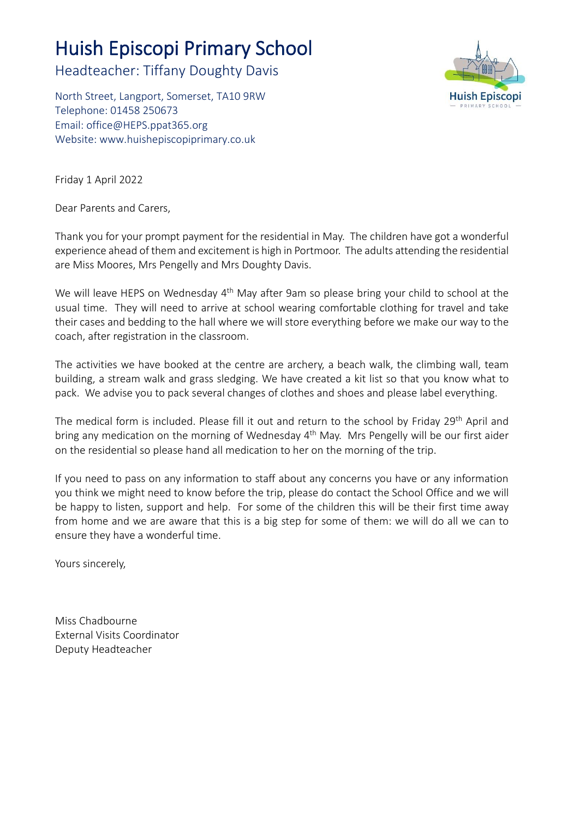# Huish Episcopi Primary School

Headteacher: Tiffany Doughty Davis

North Street, Langport, Somerset, TA10 9RW Telephone: 01458 250673 Email: [office@HEPS.ppat365.org](mailto:office@HEPS.ppat365.org) Website: [www.huishepiscopiprimary.co.uk](http://www.huishepiscopiprimary.co.uk/)



Friday 1 April 2022

Dear Parents and Carers,

Thank you for your prompt payment for the residential in May. The children have got a wonderful experience ahead of them and excitement is high in Portmoor. The adults attending the residential are Miss Moores, Mrs Pengelly and Mrs Doughty Davis.

We will leave HEPS on Wednesday 4<sup>th</sup> May after 9am so please bring your child to school at the usual time. They will need to arrive at school wearing comfortable clothing for travel and take their cases and bedding to the hall where we will store everything before we make our way to the coach, after registration in the classroom.

The activities we have booked at the centre are archery, a beach walk, the climbing wall, team building, a stream walk and grass sledging. We have created a kit list so that you know what to pack. We advise you to pack several changes of clothes and shoes and please label everything.

The medical form is included. Please fill it out and return to the school by Friday 29<sup>th</sup> April and bring any medication on the morning of Wednesday 4<sup>th</sup> May. Mrs Pengelly will be our first aider on the residential so please hand all medication to her on the morning of the trip.

If you need to pass on any information to staff about any concerns you have or any information you think we might need to know before the trip, please do contact the School Office and we will be happy to listen, support and help. For some of the children this will be their first time away from home and we are aware that this is a big step for some of them: we will do all we can to ensure they have a wonderful time.

Yours sincerely,

Miss Chadbourne External Visits Coordinator Deputy Headteacher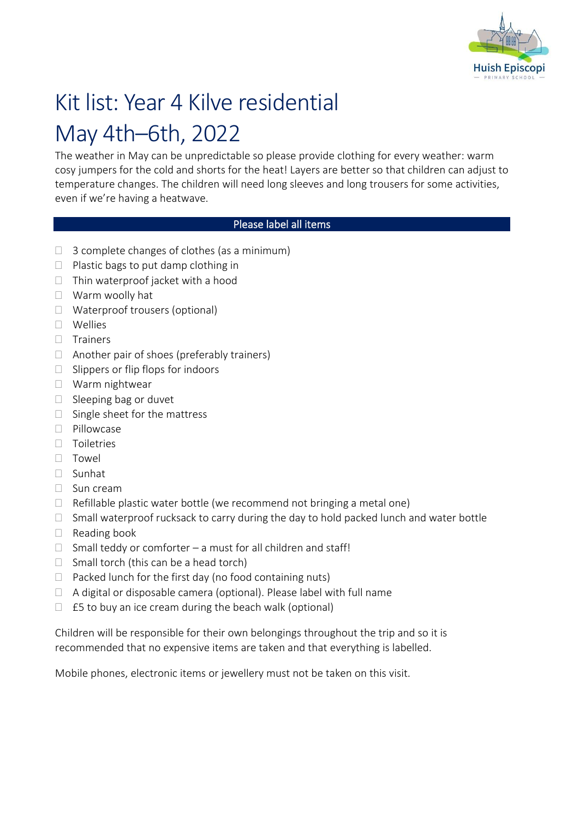

# Kit list: Year 4 Kilve residential May 4th–6th, 2022

The weather in May can be unpredictable so please provide clothing for every weather: warm cosy jumpers for the cold and shorts for the heat! Layers are better so that children can adjust to temperature changes. The children will need long sleeves and long trousers for some activities, even if we're having a heatwave.

## Please label all items

- $\Box$  3 complete changes of clothes (as a minimum)
- $\Box$  Plastic bags to put damp clothing in
- $\Box$  Thin waterproof jacket with a hood
- Warm woolly hat
- □ Waterproof trousers (optional)
- Wellies
- $\Box$  Trainers
- $\Box$  Another pair of shoes (preferably trainers)
- $\Box$  Slippers or flip flops for indoors
- □ Warm nightwear
- $\Box$  Sleeping bag or duvet
- $\Box$  Single sheet for the mattress
- □ Pillowcase
- $\Box$  Toiletries
- Towel
- Sunhat
- $\Box$  Sun cream
- $\Box$  Refillable plastic water bottle (we recommend not bringing a metal one)
- $\Box$  Small waterproof rucksack to carry during the day to hold packed lunch and water bottle
- $\Box$  Reading book
- $\Box$  Small teddy or comforter a must for all children and staff!
- $\Box$  Small torch (this can be a head torch)
- $\Box$  Packed lunch for the first day (no food containing nuts)
- $\Box$  A digital or disposable camera (optional). Please label with full name
- $\Box$  £5 to buy an ice cream during the beach walk (optional)

Children will be responsible for their own belongings throughout the trip and so it is recommended that no expensive items are taken and that everything is labelled.

Mobile phones, electronic items or jewellery must not be taken on this visit.